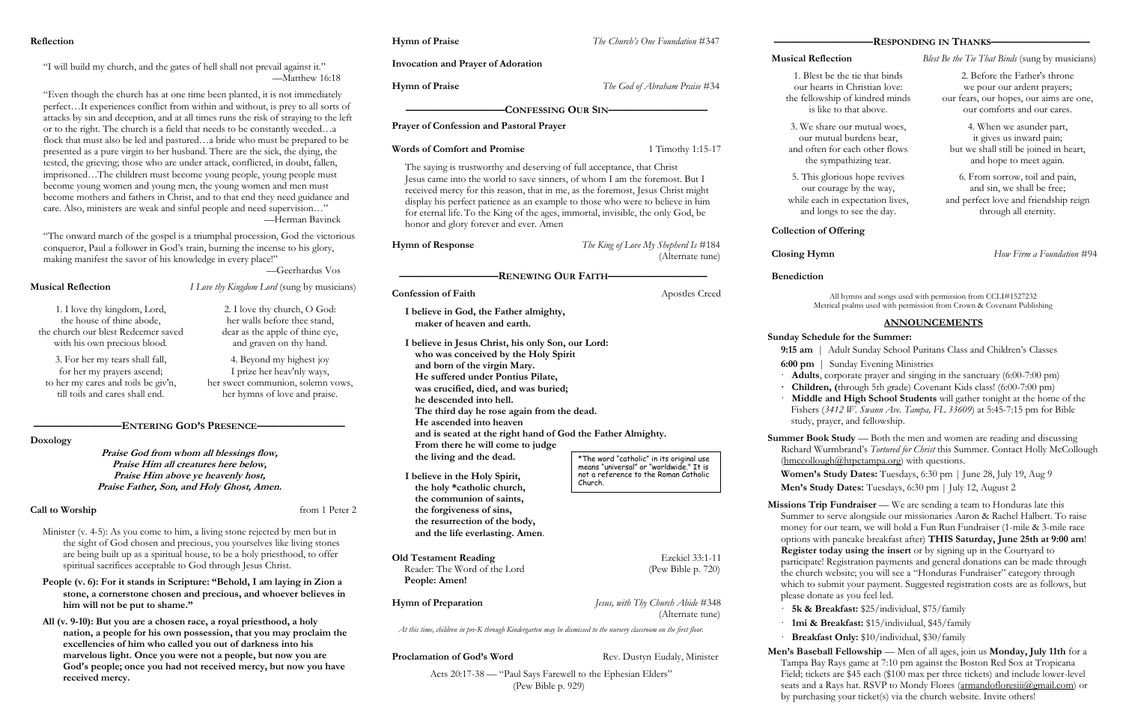#### **Reflection**

"I will build my church, and the gates of hell shall not prevail against it." —Matthew 16:18

"Even though the church has at one time been planted, it is not immediately perfect…It experiences conflict from within and without, is prey to all sorts of attacks by sin and deception, and at all times runs the risk of straying to the left or to the right. The church is a field that needs to be constantly weeded…a flock that must also be led and pastured…a bride who must be prepared to be presented as a pure virgin to her husband. There are the sick, the dying, the tested, the grieving; those who are under attack, conflicted, in doubt, fallen, imprisoned…The children must become young people, young people must become young women and young men, the young women and men must become mothers and fathers in Christ, and to that end they need guidance and care. Also, ministers are weak and sinful people and need supervision…" —Herman Bavinck

Minister (v. 4-5): As you come to him, a living stone rejected by men but in the sight of God chosen and precious, you yourselves like living stones are being built up as a spiritual house, to be a holy priesthood, to offer spiritual sacrifices acceptable to God through Jesus Christ.

"The onward march of the gospel is a triumphal procession, God the victorious conqueror, Paul a follower in God's train, burning the incense to his glory, making manifest the savor of his knowledge in every place!"

—Geerhardus Vos

**Musical Reflection** *I Love thy Kingdom Lord* (sung by musicians)

### **————————ENTERING GOD'S PRESENCE————————**

**Doxology**

**Praise God from whom all blessings flow, Praise Him all creatures here below, Praise Him above ye heavenly host, Praise Father, Son, and Holy Ghost, Amen.**

### **Call to Worship** from 1 Peter 2

**People (v. 6): For it stands in Scripture: "Behold, I am laying in Zion a stone, a cornerstone chosen and precious, and whoever believes in him will not be put to shame."**

**All (v. 9-10): But you are a chosen race, a royal priesthood, a holy nation, a people for his own possession, that you may proclaim the excellencies of him who called you out of darkness into his marvelous light. Once you were not a people, but now you are God's people; once you had not received mercy, but now you have received mercy.** 

**Hymn of Praise** *The Church's One Foundation* #347

**Summer Book Study** — Both the men and women are reading and discussing Richard Wurmbrand's *Tortured for Christ* this Summer. Contact Holly McCollough (hmccollough@htpctampa.org) with questions. **Women's Study Dates:** Tuesdays, 6:30 pm | June 28, July 19, Aug 9

**Missions Trip Fundraiser** — We are sending a team to Honduras late this Summer to serve alongside our missionaries Aaron & Rachel Halbert. To raise money for our team, we will hold a Fun Run Fundraiser (1-mile & 3-mile race options with pancake breakfast after) **THIS Saturday, June 25th at 9:00 am**! **Register today using the insert** or by signing up in the Courtyard to participate! Registration payments and general donations can be made through the church website; you will see a "Honduras Fundraiser" category through which to submit your payment. Suggested registration costs are as follows, but please donate as you feel led.

Acts 20:17-38 — "Paul Says Farewell to the Ephesian Elders" (Pew Bible p. 929)

#### **—————————RESPONDING IN THANKS—————————**

**Musical Reflection** *Blest Be the Tie That Binds* (sung by musicians)

**Collection of Offering**

**Closing Hymn** *How Firm a Foundation* #94

**Benediction**

All hymns and songs used with permission from CCLI#1527232 Metrical psalms used with permission from Crown & Covenant Publishing

#### **ANNOUNCEMENTS**

#### **Sunday Schedule for the Summer:**

**9:15 am** | Adult Sunday School Puritans Class and Children's Classes

**6:00 pm** | Sunday Evening Ministries

· **Adults**, corporate prayer and singing in the sanctuary (6:00-7:00 pm) **· Children, (**through 5th grade) Covenant Kids class! (6:00-7:00 pm) · **Middle and High School Students** will gather tonight at the home of the Fishers (*3412 W. Swann Ave. Tampa, FL 33609*) at 5:45-7:15 pm for Bible

study, prayer, and fellowship.

## **Invocation and Prayer of Adoration Hymn of Praise** *The God of Abraham Praise* #34 **—————————CONFESSING OUR SIN————————— Prayer of Confession and Pastoral Prayer Words of Comfort and Promise** 1 Timothy 1:15-17 The saying is trustworthy and deserving of full acceptance, that Christ Jesus came into the world to save sinners, of whom I am the foremost. But I received mercy for this reason, that in me, as the foremost, Jesus Christ might display his perfect patience as an example to those who were to believe in him for eternal life. To the King of the ages, immortal, invisible, the only God, be honor and glory forever and ever. Amen **Hymn of Response** *The King of Love My Shepherd Is* #184 (Alternate tune) **—————————RENEWING OUR FAITH————————— Confession of Faith Apostles Creed I believe in God, the Father almighty, maker of heaven and earth. I believe in Jesus Christ, his only Son, our Lord: who was conceived by the Holy Spirit and born of the virgin Mary. He suffered under Pontius Pilate, was crucified, died, and was buried; he descended into hell. The third day he rose again from the dead. He ascended into heaven and is seated at the right hand of God the Father Almighty. From there he will come to judge the living and the dead. I believe in the Holy Spirit, the holy \*catholic church, the communion of saints, the forgiveness of sins, the resurrection of the body, and the life everlasting. Amen**. **Old Testament Reading** Ezekiel 33:1-11 Reader: The Word of the Lord (Pew Bible p. 720) **People: Amen! Hymn of Preparation** *Jesus, with Thy Church Abide* #348 (Alternate tune) *At this time, children in pre-K through Kindergarten may be dismissed to the nursery classroom on the first floor.* **Proclamation of God's Word** Rev. Dustyn Eudaly, Minister \*The word "catholic" in its original use means "universal" or "worldwide." It is not a reference to the Roman Catholic Church.

**Men's Study Dates:** Tuesdays, 6:30 pm | July 12, August 2

· **5k & Breakfast:** \$25/individual, \$75/family

· **1mi & Breakfast:** \$15/individual, \$45/family

· **Breakfast Only:** \$10/individual, \$30/family

**Men's Baseball Fellowship** — Men of all ages, join us **Monday, July 11th** for a Tampa Bay Rays game at 7:10 pm against the Boston Red Sox at Tropicana Field; tickets are \$45 each (\$100 max per three tickets) and include lower-level seats and a Rays hat. RSVP to Mondy Flores (armandofloresiii(@gmail.com) or by purchasing your ticket(s) via the church website. Invite others!

1. I love thy kingdom, Lord, the house of thine abode, the church our blest Redeemer saved with his own precious blood.

2. I love thy church, O God: her walls before thee stand, dear as the apple of thine eye, and graven on thy hand.

3. For her my tears shall fall, for her my prayers ascend; to her my cares and toils be giv'n, till toils and cares shall end.

4. Beyond my highest joy I prize her heav'nly ways, her sweet communion, solemn vows, her hymns of love and praise.

1. Blest be the tie that binds our hearts in Christian love: the fellowship of kindred minds is like to that above.

2. Before the Father's throne we pour our ardent prayers; our fears, our hopes, our aims are one, our comforts and our cares.

3. We share our mutual woes, our mutual burdens bear, and often for each other flows the sympathizing tear.

4. When we asunder part, it gives us inward pain; but we shall still be joined in heart, and hope to meet again.

5. This glorious hope revives our courage by the way, while each in expectation lives, and longs to see the day.

6. From sorrow, toil and pain, and sin, we shall be free; and perfect love and friendship reign through all eternity.